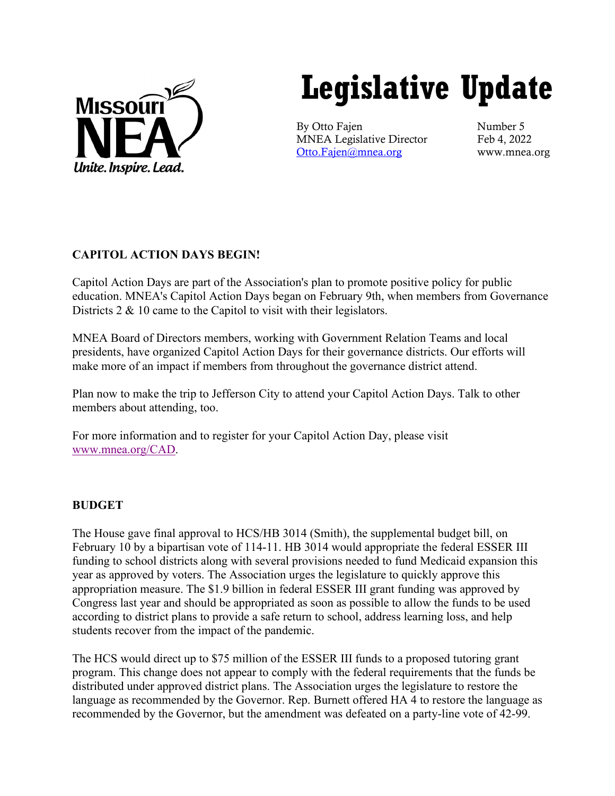

# **Legislative Update**

By Otto Fajen Number 5 MNEA Legislative Director Feb 4, 2022 [Otto.Fajen@mnea.org](mailto:Otto.Fajen@mnea.org) www.mnea.org

# **CAPITOL ACTION DAYS BEGIN!**

Capitol Action Days are part of the Association's plan to promote positive policy for public education. MNEA's Capitol Action Days began on February 9th, when members from Governance Districts 2 & 10 came to the Capitol to visit with their legislators.

MNEA Board of Directors members, working with Government Relation Teams and local presidents, have organized Capitol Action Days for their governance districts. Our efforts will make more of an impact if members from throughout the governance district attend.

Plan now to make the trip to Jefferson City to attend your Capitol Action Days. Talk to other members about attending, too.

For more information and to register for your Capitol Action Day, please visit [www.mnea.org/CAD.](http://www.mnea.org/CAD)

# **BUDGET**

The House gave final approval to HCS/HB 3014 (Smith), the supplemental budget bill, on February 10 by a bipartisan vote of 114-11. HB 3014 would appropriate the federal ESSER III funding to school districts along with several provisions needed to fund Medicaid expansion this year as approved by voters. The Association urges the legislature to quickly approve this appropriation measure. The \$1.9 billion in federal ESSER III grant funding was approved by Congress last year and should be appropriated as soon as possible to allow the funds to be used according to district plans to provide a safe return to school, address learning loss, and help students recover from the impact of the pandemic.

The HCS would direct up to \$75 million of the ESSER III funds to a proposed tutoring grant program. This change does not appear to comply with the federal requirements that the funds be distributed under approved district plans. The Association urges the legislature to restore the language as recommended by the Governor. Rep. Burnett offered HA 4 to restore the language as recommended by the Governor, but the amendment was defeated on a party-line vote of 42-99.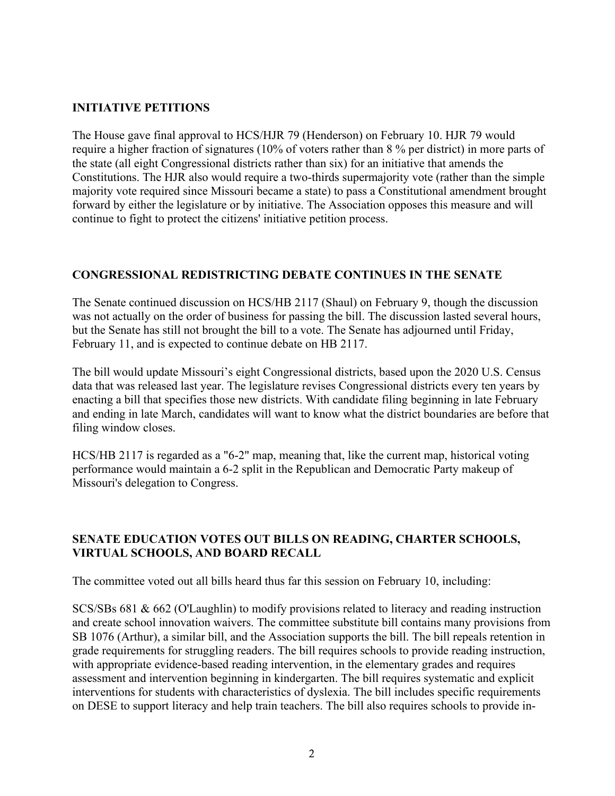## **INITIATIVE PETITIONS**

The House gave final approval to HCS/HJR 79 (Henderson) on February 10. HJR 79 would require a higher fraction of signatures (10% of voters rather than 8 % per district) in more parts of the state (all eight Congressional districts rather than six) for an initiative that amends the Constitutions. The HJR also would require a two-thirds supermajority vote (rather than the simple majority vote required since Missouri became a state) to pass a Constitutional amendment brought forward by either the legislature or by initiative. The Association opposes this measure and will continue to fight to protect the citizens' initiative petition process.

#### **CONGRESSIONAL REDISTRICTING DEBATE CONTINUES IN THE SENATE**

The Senate continued discussion on HCS/HB 2117 (Shaul) on February 9, though the discussion was not actually on the order of business for passing the bill. The discussion lasted several hours, but the Senate has still not brought the bill to a vote. The Senate has adjourned until Friday, February 11, and is expected to continue debate on HB 2117.

The bill would update Missouri's eight Congressional districts, based upon the 2020 U.S. Census data that was released last year. The legislature revises Congressional districts every ten years by enacting a bill that specifies those new districts. With candidate filing beginning in late February and ending in late March, candidates will want to know what the district boundaries are before that filing window closes.

HCS/HB 2117 is regarded as a "6-2" map, meaning that, like the current map, historical voting performance would maintain a 6-2 split in the Republican and Democratic Party makeup of Missouri's delegation to Congress.

## **SENATE EDUCATION VOTES OUT BILLS ON READING, CHARTER SCHOOLS, VIRTUAL SCHOOLS, AND BOARD RECALL**

The committee voted out all bills heard thus far this session on February 10, including:

SCS/SBs 681 & 662 (O'Laughlin) to modify provisions related to literacy and reading instruction and create school innovation waivers. The committee substitute bill contains many provisions from SB 1076 (Arthur), a similar bill, and the Association supports the bill. The bill repeals retention in grade requirements for struggling readers. The bill requires schools to provide reading instruction, with appropriate evidence-based reading intervention, in the elementary grades and requires assessment and intervention beginning in kindergarten. The bill requires systematic and explicit interventions for students with characteristics of dyslexia. The bill includes specific requirements on DESE to support literacy and help train teachers. The bill also requires schools to provide in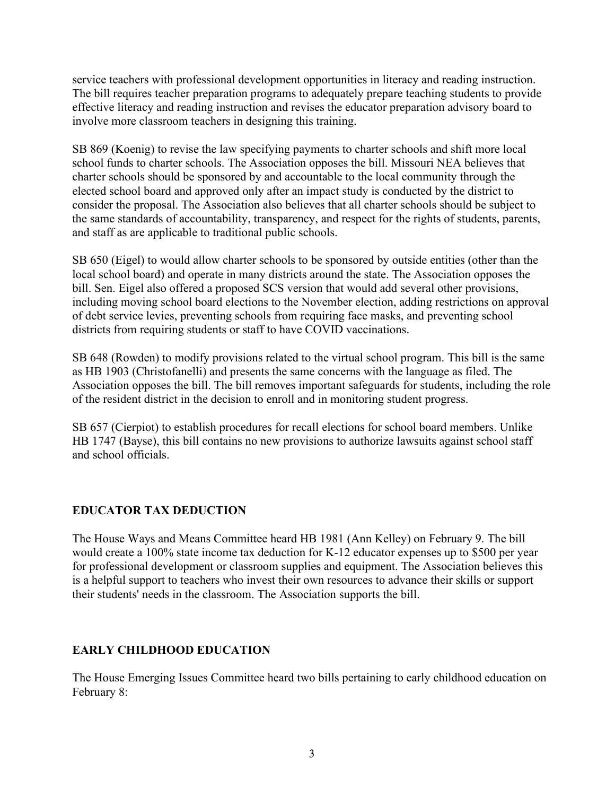service teachers with professional development opportunities in literacy and reading instruction. The bill requires teacher preparation programs to adequately prepare teaching students to provide effective literacy and reading instruction and revises the educator preparation advisory board to involve more classroom teachers in designing this training.

SB 869 (Koenig) to revise the law specifying payments to charter schools and shift more local school funds to charter schools. The Association opposes the bill. Missouri NEA believes that charter schools should be sponsored by and accountable to the local community through the elected school board and approved only after an impact study is conducted by the district to consider the proposal. The Association also believes that all charter schools should be subject to the same standards of accountability, transparency, and respect for the rights of students, parents, and staff as are applicable to traditional public schools.

SB 650 (Eigel) to would allow charter schools to be sponsored by outside entities (other than the local school board) and operate in many districts around the state. The Association opposes the bill. Sen. Eigel also offered a proposed SCS version that would add several other provisions, including moving school board elections to the November election, adding restrictions on approval of debt service levies, preventing schools from requiring face masks, and preventing school districts from requiring students or staff to have COVID vaccinations.

SB 648 (Rowden) to modify provisions related to the virtual school program. This bill is the same as HB 1903 (Christofanelli) and presents the same concerns with the language as filed. The Association opposes the bill. The bill removes important safeguards for students, including the role of the resident district in the decision to enroll and in monitoring student progress.

SB 657 (Cierpiot) to establish procedures for recall elections for school board members. Unlike HB 1747 (Bayse), this bill contains no new provisions to authorize lawsuits against school staff and school officials.

# **EDUCATOR TAX DEDUCTION**

The House Ways and Means Committee heard HB 1981 (Ann Kelley) on February 9. The bill would create a 100% state income tax deduction for K-12 educator expenses up to \$500 per year for professional development or classroom supplies and equipment. The Association believes this is a helpful support to teachers who invest their own resources to advance their skills or support their students' needs in the classroom. The Association supports the bill.

# **EARLY CHILDHOOD EDUCATION**

The House Emerging Issues Committee heard two bills pertaining to early childhood education on February 8: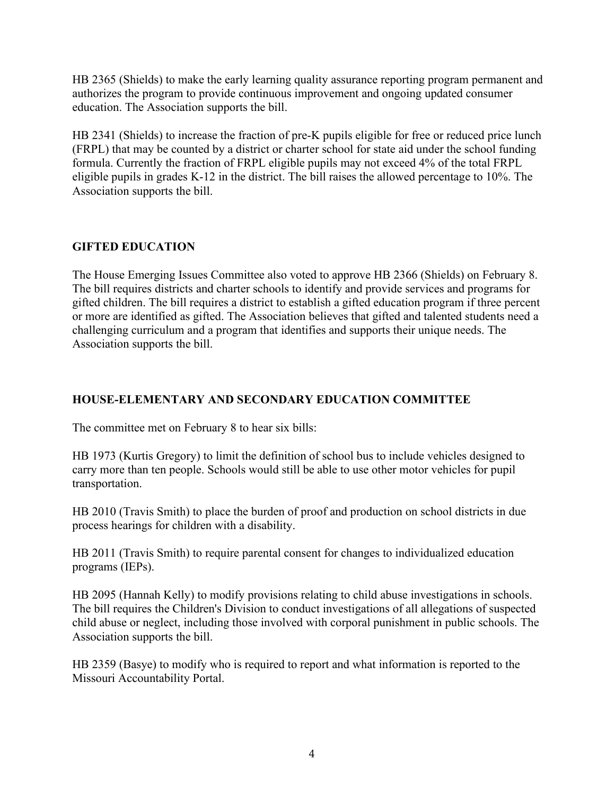HB 2365 (Shields) to make the early learning quality assurance reporting program permanent and authorizes the program to provide continuous improvement and ongoing updated consumer education. The Association supports the bill.

HB 2341 (Shields) to increase the fraction of pre-K pupils eligible for free or reduced price lunch (FRPL) that may be counted by a district or charter school for state aid under the school funding formula. Currently the fraction of FRPL eligible pupils may not exceed 4% of the total FRPL eligible pupils in grades K-12 in the district. The bill raises the allowed percentage to 10%. The Association supports the bill.

## **GIFTED EDUCATION**

The House Emerging Issues Committee also voted to approve HB 2366 (Shields) on February 8. The bill requires districts and charter schools to identify and provide services and programs for gifted children. The bill requires a district to establish a gifted education program if three percent or more are identified as gifted. The Association believes that gifted and talented students need a challenging curriculum and a program that identifies and supports their unique needs. The Association supports the bill.

# **HOUSE-ELEMENTARY AND SECONDARY EDUCATION COMMITTEE**

The committee met on February 8 to hear six bills:

HB 1973 (Kurtis Gregory) to limit the definition of school bus to include vehicles designed to carry more than ten people. Schools would still be able to use other motor vehicles for pupil transportation.

HB 2010 (Travis Smith) to place the burden of proof and production on school districts in due process hearings for children with a disability.

HB 2011 (Travis Smith) to require parental consent for changes to individualized education programs (IEPs).

HB 2095 (Hannah Kelly) to modify provisions relating to child abuse investigations in schools. The bill requires the Children's Division to conduct investigations of all allegations of suspected child abuse or neglect, including those involved with corporal punishment in public schools. The Association supports the bill.

HB 2359 (Basye) to modify who is required to report and what information is reported to the Missouri Accountability Portal.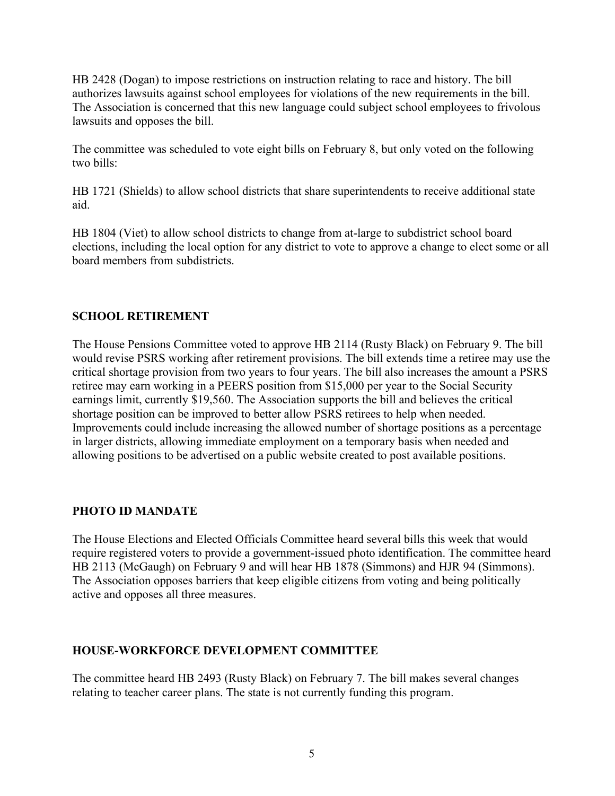HB 2428 (Dogan) to impose restrictions on instruction relating to race and history. The bill authorizes lawsuits against school employees for violations of the new requirements in the bill. The Association is concerned that this new language could subject school employees to frivolous lawsuits and opposes the bill.

The committee was scheduled to vote eight bills on February 8, but only voted on the following two bills:

HB 1721 (Shields) to allow school districts that share superintendents to receive additional state aid.

HB 1804 (Viet) to allow school districts to change from at-large to subdistrict school board elections, including the local option for any district to vote to approve a change to elect some or all board members from subdistricts.

#### **SCHOOL RETIREMENT**

The House Pensions Committee voted to approve HB 2114 (Rusty Black) on February 9. The bill would revise PSRS working after retirement provisions. The bill extends time a retiree may use the critical shortage provision from two years to four years. The bill also increases the amount a PSRS retiree may earn working in a PEERS position from \$15,000 per year to the Social Security earnings limit, currently \$19,560. The Association supports the bill and believes the critical shortage position can be improved to better allow PSRS retirees to help when needed. Improvements could include increasing the allowed number of shortage positions as a percentage in larger districts, allowing immediate employment on a temporary basis when needed and allowing positions to be advertised on a public website created to post available positions.

#### **PHOTO ID MANDATE**

The House Elections and Elected Officials Committee heard several bills this week that would require registered voters to provide a government-issued photo identification. The committee heard HB 2113 (McGaugh) on February 9 and will hear HB 1878 (Simmons) and HJR 94 (Simmons). The Association opposes barriers that keep eligible citizens from voting and being politically active and opposes all three measures.

#### **HOUSE-WORKFORCE DEVELOPMENT COMMITTEE**

The committee heard HB 2493 (Rusty Black) on February 7. The bill makes several changes relating to teacher career plans. The state is not currently funding this program.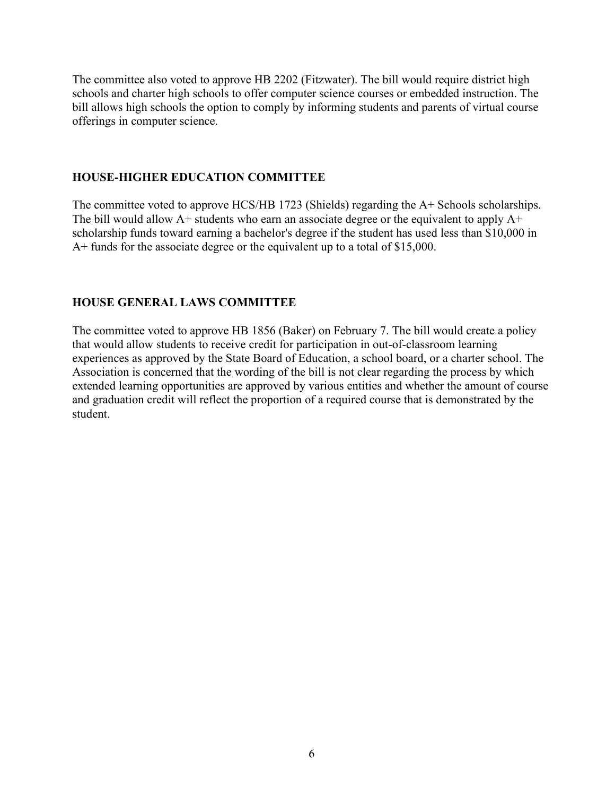The committee also voted to approve HB 2202 (Fitzwater). The bill would require district high schools and charter high schools to offer computer science courses or embedded instruction. The bill allows high schools the option to comply by informing students and parents of virtual course offerings in computer science.

#### **HOUSE-HIGHER EDUCATION COMMITTEE**

The committee voted to approve HCS/HB 1723 (Shields) regarding the A+ Schools scholarships. The bill would allow  $A<sup>+</sup>$  students who earn an associate degree or the equivalent to apply  $A<sup>+</sup>$ scholarship funds toward earning a bachelor's degree if the student has used less than \$10,000 in A+ funds for the associate degree or the equivalent up to a total of \$15,000.

#### **HOUSE GENERAL LAWS COMMITTEE**

The committee voted to approve HB 1856 (Baker) on February 7. The bill would create a policy that would allow students to receive credit for participation in out-of-classroom learning experiences as approved by the State Board of Education, a school board, or a charter school. The Association is concerned that the wording of the bill is not clear regarding the process by which extended learning opportunities are approved by various entities and whether the amount of course and graduation credit will reflect the proportion of a required course that is demonstrated by the student.